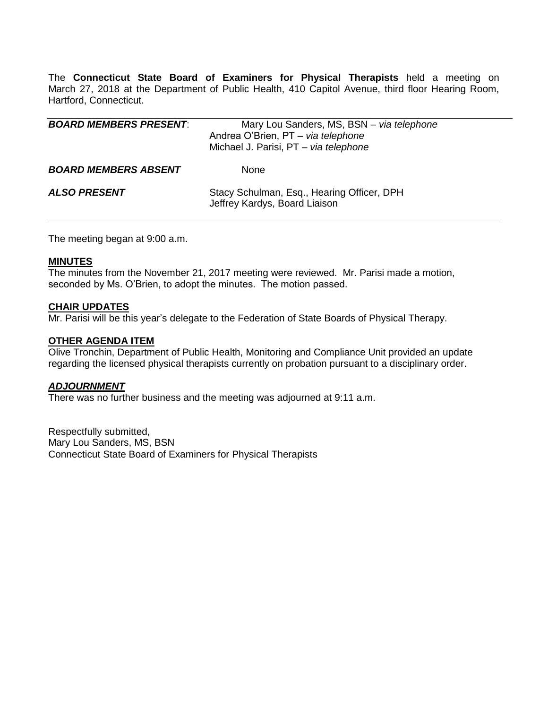The **Connecticut State Board of Examiners for Physical Therapists** held a meeting on March 27, 2018 at the Department of Public Health, 410 Capitol Avenue, third floor Hearing Room, Hartford, Connecticut.

| <b>BOARD MEMBERS PRESENT:</b> | Mary Lou Sanders, MS, BSN - via telephone<br>Andrea O'Brien, PT - via telephone<br>Michael J. Parisi, PT - via telephone |
|-------------------------------|--------------------------------------------------------------------------------------------------------------------------|
| <b>BOARD MEMBERS ABSENT</b>   | <b>None</b>                                                                                                              |
| <b>ALSO PRESENT</b>           | Stacy Schulman, Esq., Hearing Officer, DPH<br>Jeffrey Kardys, Board Liaison                                              |

The meeting began at 9:00 a.m.

### **MINUTES**

The minutes from the November 21, 2017 meeting were reviewed. Mr. Parisi made a motion, seconded by Ms. O'Brien, to adopt the minutes. The motion passed.

## **CHAIR UPDATES**

Mr. Parisi will be this year's delegate to the Federation of State Boards of Physical Therapy.

## **OTHER AGENDA ITEM**

Olive Tronchin, Department of Public Health, Monitoring and Compliance Unit provided an update regarding the licensed physical therapists currently on probation pursuant to a disciplinary order.

### *ADJOURNMENT*

There was no further business and the meeting was adjourned at 9:11 a.m.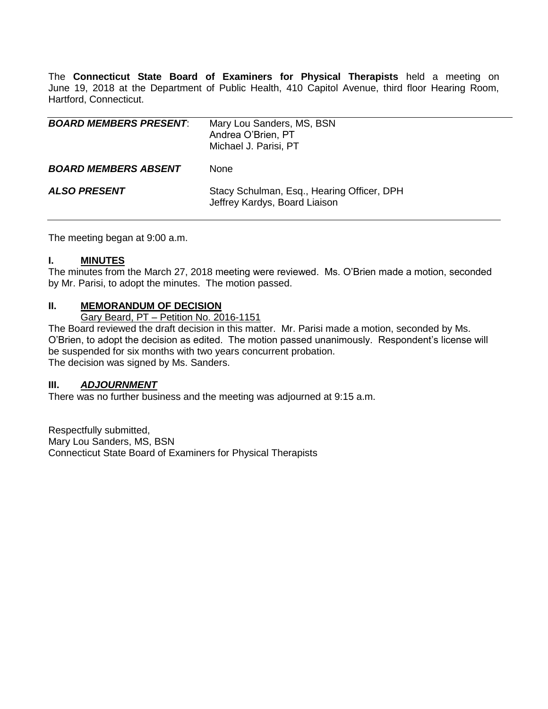The **Connecticut State Board of Examiners for Physical Therapists** held a meeting on June 19, 2018 at the Department of Public Health, 410 Capitol Avenue, third floor Hearing Room, Hartford, Connecticut.

| <b>BOARD MEMBERS PRESENT:</b> | Mary Lou Sanders, MS, BSN<br>Andrea O'Brien, PT<br>Michael J. Parisi, PT    |
|-------------------------------|-----------------------------------------------------------------------------|
| <b>BOARD MEMBERS ABSENT</b>   | None                                                                        |
| ALSO PRESENT                  | Stacy Schulman, Esq., Hearing Officer, DPH<br>Jeffrey Kardys, Board Liaison |

The meeting began at 9:00 a.m.

## **I. MINUTES**

The minutes from the March 27, 2018 meeting were reviewed. Ms. O'Brien made a motion, seconded by Mr. Parisi, to adopt the minutes. The motion passed.

## **II. MEMORANDUM OF DECISION**

Gary Beard, PT – Petition No. 2016-1151

The Board reviewed the draft decision in this matter. Mr. Parisi made a motion, seconded by Ms. O'Brien, to adopt the decision as edited. The motion passed unanimously. Respondent's license will be suspended for six months with two years concurrent probation. The decision was signed by Ms. Sanders.

### **III.** *ADJOURNMENT*

There was no further business and the meeting was adjourned at 9:15 a.m.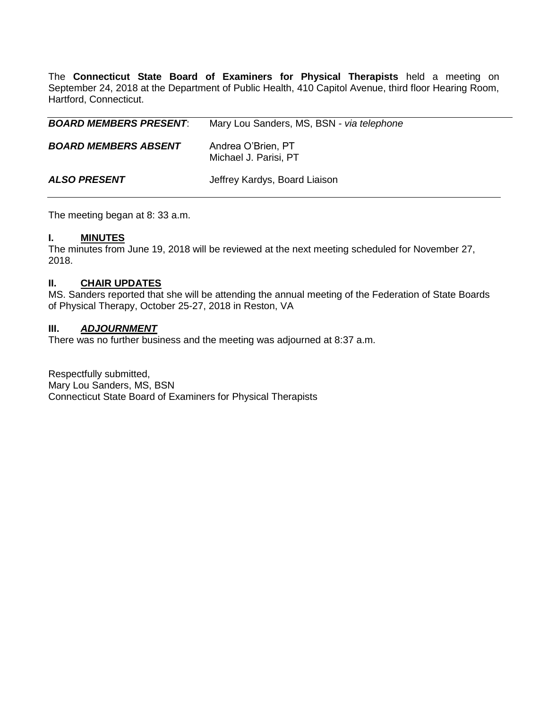The **Connecticut State Board of Examiners for Physical Therapists** held a meeting on September 24, 2018 at the Department of Public Health, 410 Capitol Avenue, third floor Hearing Room, Hartford, Connecticut.

| <b>BOARD MEMBERS PRESENT:</b> | Mary Lou Sanders, MS, BSN - via telephone   |
|-------------------------------|---------------------------------------------|
| <b>BOARD MEMBERS ABSENT</b>   | Andrea O'Brien, PT<br>Michael J. Parisi, PT |
| <b>ALSO PRESENT</b>           | Jeffrey Kardys, Board Liaison               |

The meeting began at 8: 33 a.m.

## **I. MINUTES**

The minutes from June 19, 2018 will be reviewed at the next meeting scheduled for November 27, 2018.

# **II. CHAIR UPDATES**

MS. Sanders reported that she will be attending the annual meeting of the Federation of State Boards of Physical Therapy, October 25-27, 2018 in Reston, VA

#### **III.** *ADJOURNMENT*

There was no further business and the meeting was adjourned at 8:37 a.m.